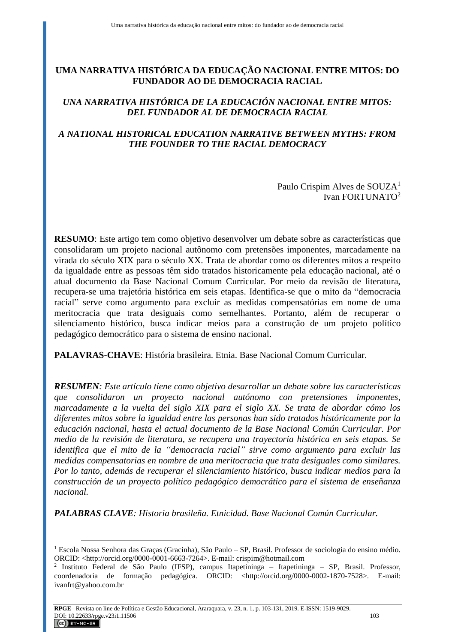# **UMA NARRATIVA HISTÓRICA DA EDUCAÇÃO NACIONAL ENTRE MITOS: DO FUNDADOR AO DE DEMOCRACIA RACIAL**

# *UNA NARRATIVA HISTÓRICA DE LA EDUCACIÓN NACIONAL ENTRE MITOS: DEL FUNDADOR AL DE DEMOCRACIA RACIAL*

# *A NATIONAL HISTORICAL EDUCATION NARRATIVE BETWEEN MYTHS: FROM THE FOUNDER TO THE RACIAL DEMOCRACY*

Paulo Crispim Alves de SOUZA<sup>1</sup> Ivan FORTUNATO<sup>2</sup>

**RESUMO**: Este artigo tem como objetivo desenvolver um debate sobre as características que consolidaram um projeto nacional autônomo com pretensões imponentes, marcadamente na virada do século XIX para o século XX. Trata de abordar como os diferentes mitos a respeito da igualdade entre as pessoas têm sido tratados historicamente pela educação nacional, até o atual documento da Base Nacional Comum Curricular. Por meio da revisão de literatura, recupera-se uma trajetória histórica em seis etapas. Identifica-se que o mito da "democracia racial" serve como argumento para excluir as medidas compensatórias em nome de uma meritocracia que trata desiguais como semelhantes. Portanto, além de recuperar o silenciamento histórico, busca indicar meios para a construção de um projeto político pedagógico democrático para o sistema de ensino nacional.

**PALAVRAS-CHAVE**: História brasileira. Etnia. Base Nacional Comum Curricular.

*RESUMEN: Este artículo tiene como objetivo desarrollar un debate sobre las características que consolidaron un proyecto nacional autónomo con pretensiones imponentes, marcadamente a la vuelta del siglo XIX para el siglo XX. Se trata de abordar cómo los diferentes mitos sobre la igualdad entre las personas han sido tratados históricamente por la educación nacional, hasta el actual documento de la Base Nacional Común Curricular. Por medio de la revisión de literatura, se recupera una trayectoria histórica en seis etapas. Se identifica que el mito de la "democracia racial" sirve como argumento para excluir las medidas compensatorias en nombre de una meritocracia que trata desiguales como similares. Por lo tanto, además de recuperar el silenciamiento histórico, busca indicar medios para la construcción de un proyecto político pedagógico democrático para el sistema de enseñanza nacional.*

*PALABRAS CLAVE: Historia brasileña. Etnicidad. Base Nacional Común Curricular.*

 $\overline{a}$ <sup>1</sup> Escola Nossa Senhora das Graças (Gracinha), São Paulo – SP, Brasil. Professor de sociologia do ensino médio. ORCID: <http://orcid.org/0000-0001-6663-7264>. E-mail: [crispim@hotmail.com](mailto:crispim@hotmail.com)

<sup>2</sup> Instituto Federal de São Paulo (IFSP), campus Itapetininga – Itapetininga – SP, Brasil. Professor, coordenadoria de formação pedagógica. ORCID: <http://orcid.org/0000-0002-1870-7528>. E-mail: [ivanfrt@yahoo.com.br](mailto:ivanfrt@yahoo.com.br)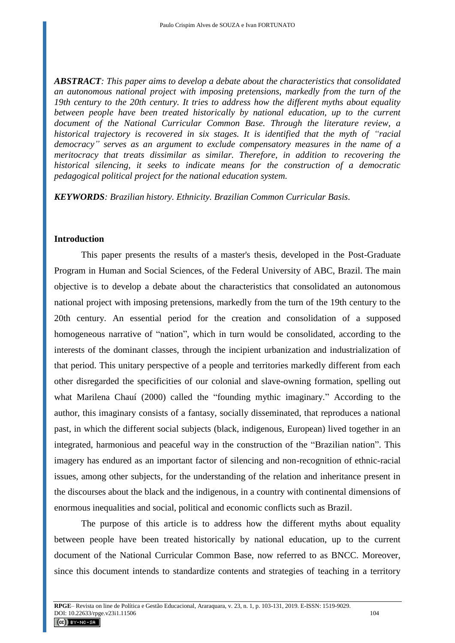*ABSTRACT: This paper aims to develop a debate about the characteristics that consolidated an autonomous national project with imposing pretensions, markedly from the turn of the 19th century to the 20th century. It tries to address how the different myths about equality between people have been treated historically by national education, up to the current document of the National Curricular Common Base. Through the literature review, a historical trajectory is recovered in six stages. It is identified that the myth of "racial democracy" serves as an argument to exclude compensatory measures in the name of a meritocracy that treats dissimilar as similar. Therefore, in addition to recovering the historical silencing, it seeks to indicate means for the construction of a democratic pedagogical political project for the national education system.*

*KEYWORDS: Brazilian history. Ethnicity. Brazilian Common Curricular Basis.*

## **Introduction**

This paper presents the results of a master's thesis, developed in the Post-Graduate Program in Human and Social Sciences, of the Federal University of ABC, Brazil. The main objective is to develop a debate about the characteristics that consolidated an autonomous national project with imposing pretensions, markedly from the turn of the 19th century to the 20th century. An essential period for the creation and consolidation of a supposed homogeneous narrative of "nation", which in turn would be consolidated, according to the interests of the dominant classes, through the incipient urbanization and industrialization of that period. This unitary perspective of a people and territories markedly different from each other disregarded the specificities of our colonial and slave-owning formation, spelling out what Marilena Chauí (2000) called the "founding mythic imaginary." According to the author, this imaginary consists of a fantasy, socially disseminated, that reproduces a national past, in which the different social subjects (black, indigenous, European) lived together in an integrated, harmonious and peaceful way in the construction of the "Brazilian nation". This imagery has endured as an important factor of silencing and non-recognition of ethnic-racial issues, among other subjects, for the understanding of the relation and inheritance present in the discourses about the black and the indigenous, in a country with continental dimensions of enormous inequalities and social, political and economic conflicts such as Brazil.

The purpose of this article is to address how the different myths about equality between people have been treated historically by national education, up to the current document of the National Curricular Common Base, now referred to as BNCC. Moreover, since this document intends to standardize contents and strategies of teaching in a territory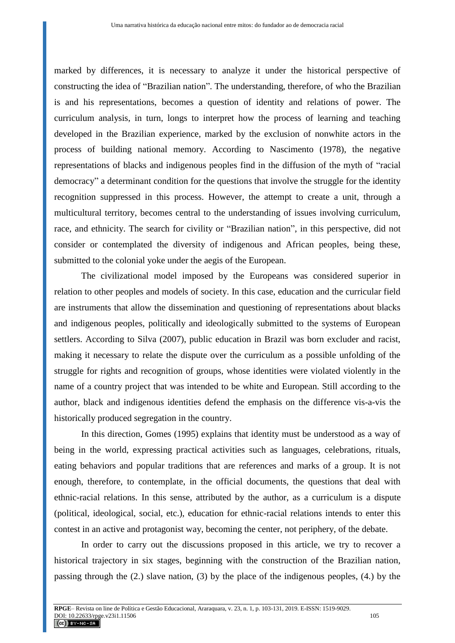marked by differences, it is necessary to analyze it under the historical perspective of constructing the idea of "Brazilian nation". The understanding, therefore, of who the Brazilian is and his representations, becomes a question of identity and relations of power. The curriculum analysis, in turn, longs to interpret how the process of learning and teaching developed in the Brazilian experience, marked by the exclusion of nonwhite actors in the process of building national memory. According to Nascimento (1978), the negative representations of blacks and indigenous peoples find in the diffusion of the myth of "racial democracy" a determinant condition for the questions that involve the struggle for the identity recognition suppressed in this process. However, the attempt to create a unit, through a multicultural territory, becomes central to the understanding of issues involving curriculum, race, and ethnicity. The search for civility or "Brazilian nation", in this perspective, did not consider or contemplated the diversity of indigenous and African peoples, being these, submitted to the colonial yoke under the aegis of the European.

The civilizational model imposed by the Europeans was considered superior in relation to other peoples and models of society. In this case, education and the curricular field are instruments that allow the dissemination and questioning of representations about blacks and indigenous peoples, politically and ideologically submitted to the systems of European settlers. According to Silva (2007), public education in Brazil was born excluder and racist, making it necessary to relate the dispute over the curriculum as a possible unfolding of the struggle for rights and recognition of groups, whose identities were violated violently in the name of a country project that was intended to be white and European. Still according to the author, black and indigenous identities defend the emphasis on the difference vis-a-vis the historically produced segregation in the country.

In this direction, Gomes (1995) explains that identity must be understood as a way of being in the world, expressing practical activities such as languages, celebrations, rituals, eating behaviors and popular traditions that are references and marks of a group. It is not enough, therefore, to contemplate, in the official documents, the questions that deal with ethnic-racial relations. In this sense, attributed by the author, as a curriculum is a dispute (political, ideological, social, etc.), education for ethnic-racial relations intends to enter this contest in an active and protagonist way, becoming the center, not periphery, of the debate.

In order to carry out the discussions proposed in this article, we try to recover a historical trajectory in six stages, beginning with the construction of the Brazilian nation, passing through the (2.) slave nation, (3) by the place of the indigenous peoples, (4.) by the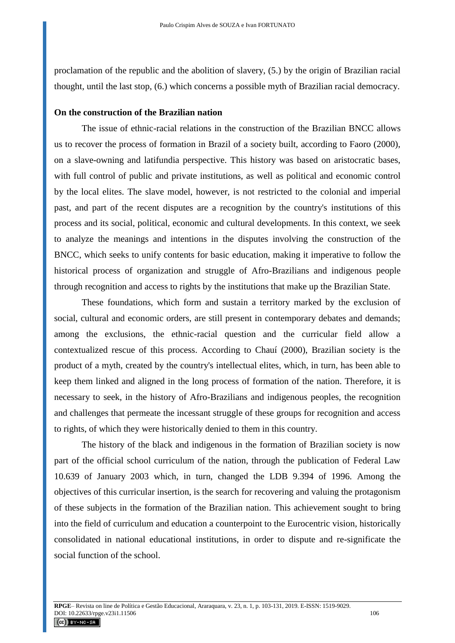proclamation of the republic and the abolition of slavery, (5.) by the origin of Brazilian racial thought, until the last stop, (6.) which concerns a possible myth of Brazilian racial democracy.

### **On the construction of the Brazilian nation**

The issue of ethnic-racial relations in the construction of the Brazilian BNCC allows us to recover the process of formation in Brazil of a society built, according to Faoro (2000), on a slave-owning and latifundia perspective. This history was based on aristocratic bases, with full control of public and private institutions, as well as political and economic control by the local elites. The slave model, however, is not restricted to the colonial and imperial past, and part of the recent disputes are a recognition by the country's institutions of this process and its social, political, economic and cultural developments. In this context, we seek to analyze the meanings and intentions in the disputes involving the construction of the BNCC, which seeks to unify contents for basic education, making it imperative to follow the historical process of organization and struggle of Afro-Brazilians and indigenous people through recognition and access to rights by the institutions that make up the Brazilian State.

These foundations, which form and sustain a territory marked by the exclusion of social, cultural and economic orders, are still present in contemporary debates and demands; among the exclusions, the ethnic-racial question and the curricular field allow a contextualized rescue of this process. According to Chauí (2000), Brazilian society is the product of a myth, created by the country's intellectual elites, which, in turn, has been able to keep them linked and aligned in the long process of formation of the nation. Therefore, it is necessary to seek, in the history of Afro-Brazilians and indigenous peoples, the recognition and challenges that permeate the incessant struggle of these groups for recognition and access to rights, of which they were historically denied to them in this country.

The history of the black and indigenous in the formation of Brazilian society is now part of the official school curriculum of the nation, through the publication of Federal Law 10.639 of January 2003 which, in turn, changed the LDB 9.394 of 1996. Among the objectives of this curricular insertion, is the search for recovering and valuing the protagonism of these subjects in the formation of the Brazilian nation. This achievement sought to bring into the field of curriculum and education a counterpoint to the Eurocentric vision, historically consolidated in national educational institutions, in order to dispute and re-significate the social function of the school.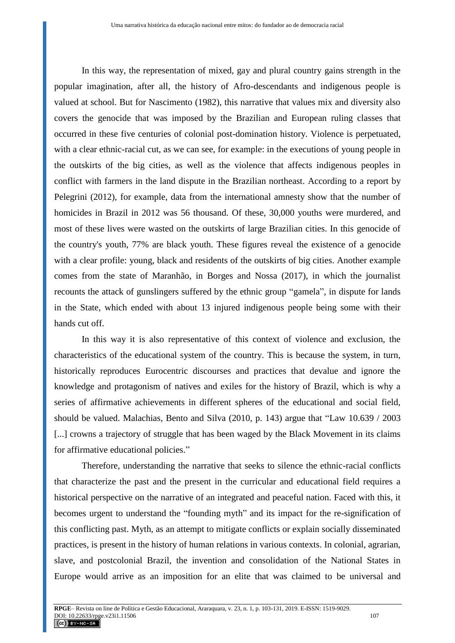In this way, the representation of mixed, gay and plural country gains strength in the popular imagination, after all, the history of Afro-descendants and indigenous people is valued at school. But for Nascimento (1982), this narrative that values mix and diversity also covers the genocide that was imposed by the Brazilian and European ruling classes that occurred in these five centuries of colonial post-domination history. Violence is perpetuated, with a clear ethnic-racial cut, as we can see, for example: in the executions of young people in the outskirts of the big cities, as well as the violence that affects indigenous peoples in conflict with farmers in the land dispute in the Brazilian northeast. According to a report by Pelegrini (2012), for example, data from the international amnesty show that the number of homicides in Brazil in 2012 was 56 thousand. Of these, 30,000 youths were murdered, and most of these lives were wasted on the outskirts of large Brazilian cities. In this genocide of the country's youth, 77% are black youth. These figures reveal the existence of a genocide with a clear profile: young, black and residents of the outskirts of big cities. Another example comes from the state of Maranhão, in Borges and Nossa (2017), in which the journalist recounts the attack of gunslingers suffered by the ethnic group "gamela", in dispute for lands in the State, which ended with about 13 injured indigenous people being some with their hands cut off.

In this way it is also representative of this context of violence and exclusion, the characteristics of the educational system of the country. This is because the system, in turn, historically reproduces Eurocentric discourses and practices that devalue and ignore the knowledge and protagonism of natives and exiles for the history of Brazil, which is why a series of affirmative achievements in different spheres of the educational and social field, should be valued. Malachias, Bento and Silva (2010, p. 143) argue that "Law 10.639 / 2003 [...] crowns a trajectory of struggle that has been waged by the Black Movement in its claims for affirmative educational policies."

Therefore, understanding the narrative that seeks to silence the ethnic-racial conflicts that characterize the past and the present in the curricular and educational field requires a historical perspective on the narrative of an integrated and peaceful nation. Faced with this, it becomes urgent to understand the "founding myth" and its impact for the re-signification of this conflicting past. Myth, as an attempt to mitigate conflicts or explain socially disseminated practices, is present in the history of human relations in various contexts. In colonial, agrarian, slave, and postcolonial Brazil, the invention and consolidation of the National States in Europe would arrive as an imposition for an elite that was claimed to be universal and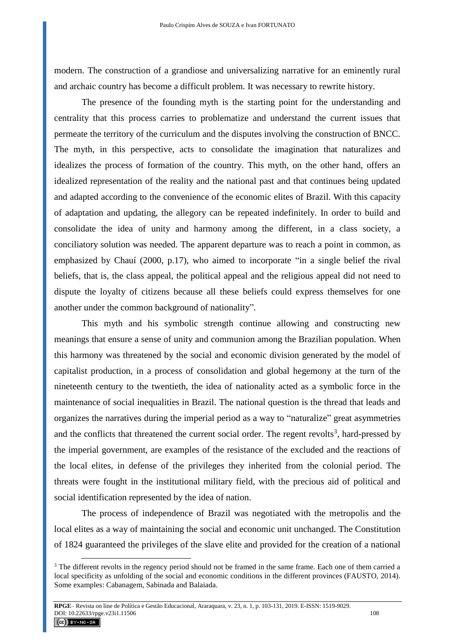modern. The construction of a grandiose and universalizing narrative for an eminently rural and archaic country has become a difficult problem. It was necessary to rewrite history.

The presence of the founding myth is the starting point for the understanding and centrality that this process carries to problematize and understand the current issues that permeate the territory of the curriculum and the disputes involving the construction of BNCC. The myth, in this perspective, acts to consolidate the imagination that naturalizes and idealizes the process of formation of the country. This myth, on the other hand, offers an idealized representation of the reality and the national past and that continues being updated and adapted according to the convenience of the economic elites of Brazil. With this capacity of adaptation and updating, the allegory can be repeated indefinitely. In order to build and consolidate the idea of unity and harmony among the different, in a class society, a conciliatory solution was needed. The apparent departure was to reach a point in common, as emphasized by Chauí (2000, p.17), who aimed to incorporate "in a single belief the rival beliefs, that is, the class appeal, the political appeal and the religious appeal did not need to dispute the loyalty of citizens because all these beliefs could express themselves for one another under the common background of nationality".

This myth and his symbolic strength continue allowing and constructing new meanings that ensure a sense of unity and communion among the Brazilian population. When this harmony was threatened by the social and economic division generated by the model of capitalist production, in a process of consolidation and global hegemony at the turn of the nineteenth century to the twentieth, the idea of nationality acted as a symbolic force in the maintenance of social inequalities in Brazil. The national question is the thread that leads and organizes the narratives during the imperial period as a way to "naturalize" great asymmetries and the conflicts that threatened the current social order. The regent revolts<sup>3</sup>, hard-pressed by the imperial government, are examples of the resistance of the excluded and the reactions of the local elites, in defense of the privileges they inherited from the colonial period. The threats were fought in the institutional military field, with the precious aid of political and social identification represented by the idea of nation.

The process of independence of Brazil was negotiated with the metropolis and the local elites as a way of maintaining the social and economic unit unchanged. The Constitution of 1824 guaranteed the privileges of the slave elite and provided for the creation of a national

<sup>&</sup>lt;sup>3</sup> The different revolts in the regency period should not be framed in the same frame. Each one of them carried a local specificity as unfolding of the social and economic conditions in the different provinces (FAUSTO, 2014). Some examples: Cabanagem, Sabinada and Balaiada.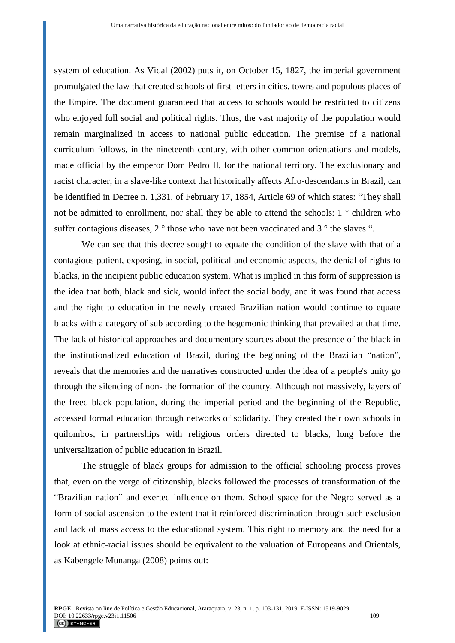system of education. As Vidal (2002) puts it, on October 15, 1827, the imperial government promulgated the law that created schools of first letters in cities, towns and populous places of the Empire. The document guaranteed that access to schools would be restricted to citizens who enjoyed full social and political rights. Thus, the vast majority of the population would remain marginalized in access to national public education. The premise of a national curriculum follows, in the nineteenth century, with other common orientations and models, made official by the emperor Dom Pedro II, for the national territory. The exclusionary and racist character, in a slave-like context that historically affects Afro-descendants in Brazil, can be identified in Decree n. 1,331, of February 17, 1854, Article 69 of which states: "They shall not be admitted to enrollment, nor shall they be able to attend the schools: 1 ° children who suffer contagious diseases, 2<sup>°</sup> those who have not been vaccinated and 3<sup>°</sup> the slaves ".

We can see that this decree sought to equate the condition of the slave with that of a contagious patient, exposing, in social, political and economic aspects, the denial of rights to blacks, in the incipient public education system. What is implied in this form of suppression is the idea that both, black and sick, would infect the social body, and it was found that access and the right to education in the newly created Brazilian nation would continue to equate blacks with a category of sub according to the hegemonic thinking that prevailed at that time. The lack of historical approaches and documentary sources about the presence of the black in the institutionalized education of Brazil, during the beginning of the Brazilian "nation", reveals that the memories and the narratives constructed under the idea of a people's unity go through the silencing of non- the formation of the country. Although not massively, layers of the freed black population, during the imperial period and the beginning of the Republic, accessed formal education through networks of solidarity. They created their own schools in quilombos, in partnerships with religious orders directed to blacks, long before the universalization of public education in Brazil.

The struggle of black groups for admission to the official schooling process proves that, even on the verge of citizenship, blacks followed the processes of transformation of the "Brazilian nation" and exerted influence on them. School space for the Negro served as a form of social ascension to the extent that it reinforced discrimination through such exclusion and lack of mass access to the educational system. This right to memory and the need for a look at ethnic-racial issues should be equivalent to the valuation of Europeans and Orientals, as Kabengele Munanga (2008) points out: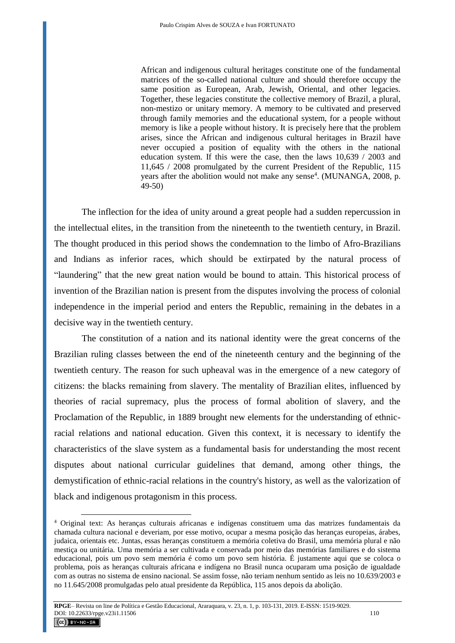African and indigenous cultural heritages constitute one of the fundamental matrices of the so-called national culture and should therefore occupy the same position as European, Arab, Jewish, Oriental, and other legacies. Together, these legacies constitute the collective memory of Brazil, a plural, non-mestizo or unitary memory. A memory to be cultivated and preserved through family memories and the educational system, for a people without memory is like a people without history. It is precisely here that the problem arises, since the African and indigenous cultural heritages in Brazil have never occupied a position of equality with the others in the national education system. If this were the case, then the laws 10,639 / 2003 and 11,645 / 2008 promulgated by the current President of the Republic, 115 years after the abolition would not make any sense<sup>4</sup>. (MUNANGA, 2008, p. 49-50)

The inflection for the idea of unity around a great people had a sudden repercussion in the intellectual elites, in the transition from the nineteenth to the twentieth century, in Brazil. The thought produced in this period shows the condemnation to the limbo of Afro-Brazilians and Indians as inferior races, which should be extirpated by the natural process of "laundering" that the new great nation would be bound to attain. This historical process of invention of the Brazilian nation is present from the disputes involving the process of colonial independence in the imperial period and enters the Republic, remaining in the debates in a decisive way in the twentieth century.

The constitution of a nation and its national identity were the great concerns of the Brazilian ruling classes between the end of the nineteenth century and the beginning of the twentieth century. The reason for such upheaval was in the emergence of a new category of citizens: the blacks remaining from slavery. The mentality of Brazilian elites, influenced by theories of racial supremacy, plus the process of formal abolition of slavery, and the Proclamation of the Republic, in 1889 brought new elements for the understanding of ethnicracial relations and national education. Given this context, it is necessary to identify the characteristics of the slave system as a fundamental basis for understanding the most recent disputes about national curricular guidelines that demand, among other things, the demystification of ethnic-racial relations in the country's history, as well as the valorization of black and indigenous protagonism in this process.

<sup>4</sup> Original text: As heranças culturais africanas e indígenas constituem uma das matrizes fundamentais da chamada cultura nacional e deveriam, por esse motivo, ocupar a mesma posição das heranças europeias, árabes, judaica, orientais etc. Juntas, essas heranças constituem a memória coletiva do Brasil, uma memória plural e não mestiça ou unitária. Uma memória a ser cultivada e conservada por meio das memórias familiares e do sistema educacional, pois um povo sem memória é como um povo sem história. É justamente aqui que se coloca o problema, pois as heranças culturais africana e indígena no Brasil nunca ocuparam uma posição de igualdade com as outras no sistema de ensino nacional. Se assim fosse, não teriam nenhum sentido as leis no 10.639/2003 e no 11.645/2008 promulgadas pelo atual presidente da República, 115 anos depois da abolição.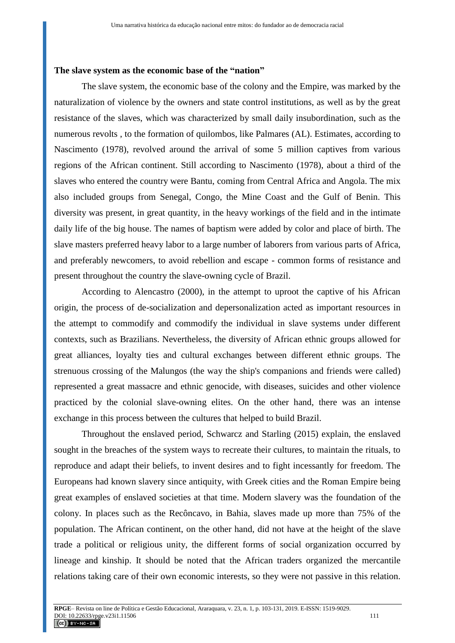#### **The slave system as the economic base of the "nation"**

The slave system, the economic base of the colony and the Empire, was marked by the naturalization of violence by the owners and state control institutions, as well as by the great resistance of the slaves, which was characterized by small daily insubordination, such as the numerous revolts , to the formation of quilombos, like Palmares (AL). Estimates, according to Nascimento (1978), revolved around the arrival of some 5 million captives from various regions of the African continent. Still according to Nascimento (1978), about a third of the slaves who entered the country were Bantu, coming from Central Africa and Angola. The mix also included groups from Senegal, Congo, the Mine Coast and the Gulf of Benin. This diversity was present, in great quantity, in the heavy workings of the field and in the intimate daily life of the big house. The names of baptism were added by color and place of birth. The slave masters preferred heavy labor to a large number of laborers from various parts of Africa, and preferably newcomers, to avoid rebellion and escape - common forms of resistance and present throughout the country the slave-owning cycle of Brazil.

According to Alencastro (2000), in the attempt to uproot the captive of his African origin, the process of de-socialization and depersonalization acted as important resources in the attempt to commodify and commodify the individual in slave systems under different contexts, such as Brazilians. Nevertheless, the diversity of African ethnic groups allowed for great alliances, loyalty ties and cultural exchanges between different ethnic groups. The strenuous crossing of the Malungos (the way the ship's companions and friends were called) represented a great massacre and ethnic genocide, with diseases, suicides and other violence practiced by the colonial slave-owning elites. On the other hand, there was an intense exchange in this process between the cultures that helped to build Brazil.

Throughout the enslaved period, Schwarcz and Starling (2015) explain, the enslaved sought in the breaches of the system ways to recreate their cultures, to maintain the rituals, to reproduce and adapt their beliefs, to invent desires and to fight incessantly for freedom. The Europeans had known slavery since antiquity, with Greek cities and the Roman Empire being great examples of enslaved societies at that time. Modern slavery was the foundation of the colony. In places such as the Recôncavo, in Bahia, slaves made up more than 75% of the population. The African continent, on the other hand, did not have at the height of the slave trade a political or religious unity, the different forms of social organization occurred by lineage and kinship. It should be noted that the African traders organized the mercantile relations taking care of their own economic interests, so they were not passive in this relation.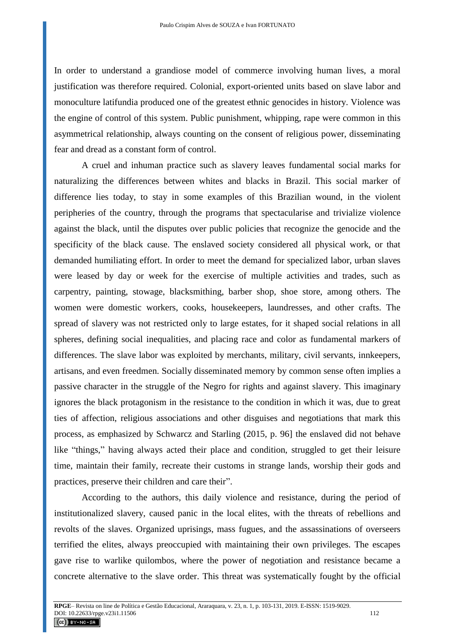In order to understand a grandiose model of commerce involving human lives, a moral justification was therefore required. Colonial, export-oriented units based on slave labor and monoculture latifundia produced one of the greatest ethnic genocides in history. Violence was the engine of control of this system. Public punishment, whipping, rape were common in this asymmetrical relationship, always counting on the consent of religious power, disseminating fear and dread as a constant form of control.

A cruel and inhuman practice such as slavery leaves fundamental social marks for naturalizing the differences between whites and blacks in Brazil. This social marker of difference lies today, to stay in some examples of this Brazilian wound, in the violent peripheries of the country, through the programs that spectacularise and trivialize violence against the black, until the disputes over public policies that recognize the genocide and the specificity of the black cause. The enslaved society considered all physical work, or that demanded humiliating effort. In order to meet the demand for specialized labor, urban slaves were leased by day or week for the exercise of multiple activities and trades, such as carpentry, painting, stowage, blacksmithing, barber shop, shoe store, among others. The women were domestic workers, cooks, housekeepers, laundresses, and other crafts. The spread of slavery was not restricted only to large estates, for it shaped social relations in all spheres, defining social inequalities, and placing race and color as fundamental markers of differences. The slave labor was exploited by merchants, military, civil servants, innkeepers, artisans, and even freedmen. Socially disseminated memory by common sense often implies a passive character in the struggle of the Negro for rights and against slavery. This imaginary ignores the black protagonism in the resistance to the condition in which it was, due to great ties of affection, religious associations and other disguises and negotiations that mark this process, as emphasized by Schwarcz and Starling (2015, p. 96] the enslaved did not behave like "things," having always acted their place and condition, struggled to get their leisure time, maintain their family, recreate their customs in strange lands, worship their gods and practices, preserve their children and care their".

According to the authors, this daily violence and resistance, during the period of institutionalized slavery, caused panic in the local elites, with the threats of rebellions and revolts of the slaves. Organized uprisings, mass fugues, and the assassinations of overseers terrified the elites, always preoccupied with maintaining their own privileges. The escapes gave rise to warlike quilombos, where the power of negotiation and resistance became a concrete alternative to the slave order. This threat was systematically fought by the official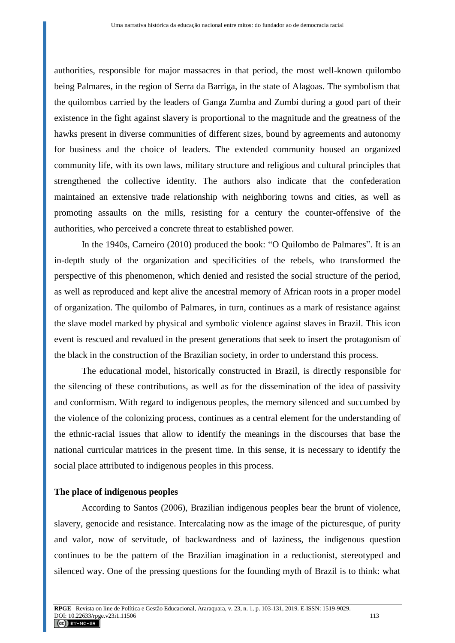authorities, responsible for major massacres in that period, the most well-known quilombo being Palmares, in the region of Serra da Barriga, in the state of Alagoas. The symbolism that the quilombos carried by the leaders of Ganga Zumba and Zumbi during a good part of their existence in the fight against slavery is proportional to the magnitude and the greatness of the hawks present in diverse communities of different sizes, bound by agreements and autonomy for business and the choice of leaders. The extended community housed an organized community life, with its own laws, military structure and religious and cultural principles that strengthened the collective identity. The authors also indicate that the confederation maintained an extensive trade relationship with neighboring towns and cities, as well as promoting assaults on the mills, resisting for a century the counter-offensive of the authorities, who perceived a concrete threat to established power.

In the 1940s, Carneiro (2010) produced the book: "O Quilombo de Palmares". It is an in-depth study of the organization and specificities of the rebels, who transformed the perspective of this phenomenon, which denied and resisted the social structure of the period, as well as reproduced and kept alive the ancestral memory of African roots in a proper model of organization. The quilombo of Palmares, in turn, continues as a mark of resistance against the slave model marked by physical and symbolic violence against slaves in Brazil. This icon event is rescued and revalued in the present generations that seek to insert the protagonism of the black in the construction of the Brazilian society, in order to understand this process.

The educational model, historically constructed in Brazil, is directly responsible for the silencing of these contributions, as well as for the dissemination of the idea of passivity and conformism. With regard to indigenous peoples, the memory silenced and succumbed by the violence of the colonizing process, continues as a central element for the understanding of the ethnic-racial issues that allow to identify the meanings in the discourses that base the national curricular matrices in the present time. In this sense, it is necessary to identify the social place attributed to indigenous peoples in this process.

### **The place of indigenous peoples**

According to Santos (2006), Brazilian indigenous peoples bear the brunt of violence, slavery, genocide and resistance. Intercalating now as the image of the picturesque, of purity and valor, now of servitude, of backwardness and of laziness, the indigenous question continues to be the pattern of the Brazilian imagination in a reductionist, stereotyped and silenced way. One of the pressing questions for the founding myth of Brazil is to think: what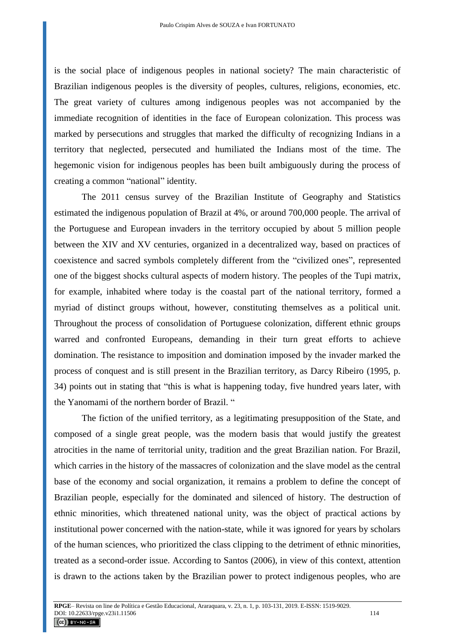is the social place of indigenous peoples in national society? The main characteristic of Brazilian indigenous peoples is the diversity of peoples, cultures, religions, economies, etc. The great variety of cultures among indigenous peoples was not accompanied by the immediate recognition of identities in the face of European colonization. This process was marked by persecutions and struggles that marked the difficulty of recognizing Indians in a territory that neglected, persecuted and humiliated the Indians most of the time. The hegemonic vision for indigenous peoples has been built ambiguously during the process of creating a common "national" identity.

The 2011 census survey of the Brazilian Institute of Geography and Statistics estimated the indigenous population of Brazil at 4%, or around 700,000 people. The arrival of the Portuguese and European invaders in the territory occupied by about 5 million people between the XIV and XV centuries, organized in a decentralized way, based on practices of coexistence and sacred symbols completely different from the "civilized ones", represented one of the biggest shocks cultural aspects of modern history. The peoples of the Tupi matrix, for example, inhabited where today is the coastal part of the national territory, formed a myriad of distinct groups without, however, constituting themselves as a political unit. Throughout the process of consolidation of Portuguese colonization, different ethnic groups warred and confronted Europeans, demanding in their turn great efforts to achieve domination. The resistance to imposition and domination imposed by the invader marked the process of conquest and is still present in the Brazilian territory, as Darcy Ribeiro (1995, p. 34) points out in stating that "this is what is happening today, five hundred years later, with the Yanomami of the northern border of Brazil. "

The fiction of the unified territory, as a legitimating presupposition of the State, and composed of a single great people, was the modern basis that would justify the greatest atrocities in the name of territorial unity, tradition and the great Brazilian nation. For Brazil, which carries in the history of the massacres of colonization and the slave model as the central base of the economy and social organization, it remains a problem to define the concept of Brazilian people, especially for the dominated and silenced of history. The destruction of ethnic minorities, which threatened national unity, was the object of practical actions by institutional power concerned with the nation-state, while it was ignored for years by scholars of the human sciences, who prioritized the class clipping to the detriment of ethnic minorities, treated as a second-order issue. According to Santos (2006), in view of this context, attention is drawn to the actions taken by the Brazilian power to protect indigenous peoples, who are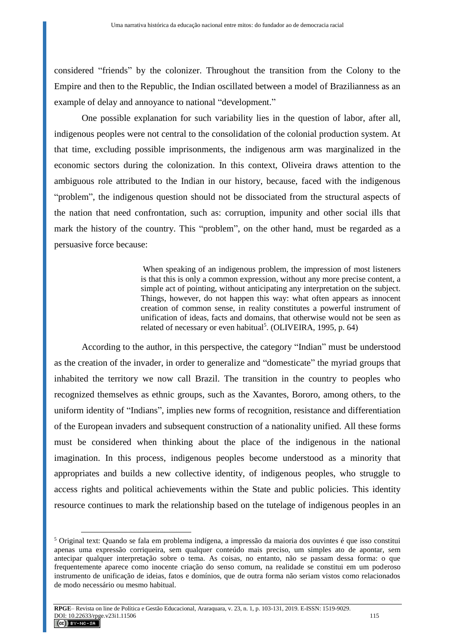considered "friends" by the colonizer. Throughout the transition from the Colony to the Empire and then to the Republic, the Indian oscillated between a model of Brazilianness as an example of delay and annoyance to national "development."

One possible explanation for such variability lies in the question of labor, after all, indigenous peoples were not central to the consolidation of the colonial production system. At that time, excluding possible imprisonments, the indigenous arm was marginalized in the economic sectors during the colonization. In this context, Oliveira draws attention to the ambiguous role attributed to the Indian in our history, because, faced with the indigenous "problem", the indigenous question should not be dissociated from the structural aspects of the nation that need confrontation, such as: corruption, impunity and other social ills that mark the history of the country. This "problem", on the other hand, must be regarded as a persuasive force because:

> When speaking of an indigenous problem, the impression of most listeners is that this is only a common expression, without any more precise content, a simple act of pointing, without anticipating any interpretation on the subject. Things, however, do not happen this way: what often appears as innocent creation of common sense, in reality constitutes a powerful instrument of unification of ideas, facts and domains, that otherwise would not be seen as related of necessary or even habitual<sup>5</sup>. (OLIVEIRA, 1995, p. 64)

According to the author, in this perspective, the category "Indian" must be understood as the creation of the invader, in order to generalize and "domesticate" the myriad groups that inhabited the territory we now call Brazil. The transition in the country to peoples who recognized themselves as ethnic groups, such as the Xavantes, Bororo, among others, to the uniform identity of "Indians", implies new forms of recognition, resistance and differentiation of the European invaders and subsequent construction of a nationality unified. All these forms must be considered when thinking about the place of the indigenous in the national imagination. In this process, indigenous peoples become understood as a minority that appropriates and builds a new collective identity, of indigenous peoples, who struggle to access rights and political achievements within the State and public policies. This identity resource continues to mark the relationship based on the tutelage of indigenous peoples in an

<sup>5</sup> Original text: Quando se fala em problema indígena, a impressão da maioria dos ouvintes é que isso constitui apenas uma expressão corriqueira, sem qualquer conteúdo mais preciso, um simples ato de apontar, sem antecipar qualquer interpretação sobre o tema. As coisas, no entanto, não se passam dessa forma: o que frequentemente aparece como inocente criação do senso comum, na realidade se constitui em um poderoso instrumento de unificação de ideias, fatos e domínios, que de outra forma não seriam vistos como relacionados de modo necessário ou mesmo habitual.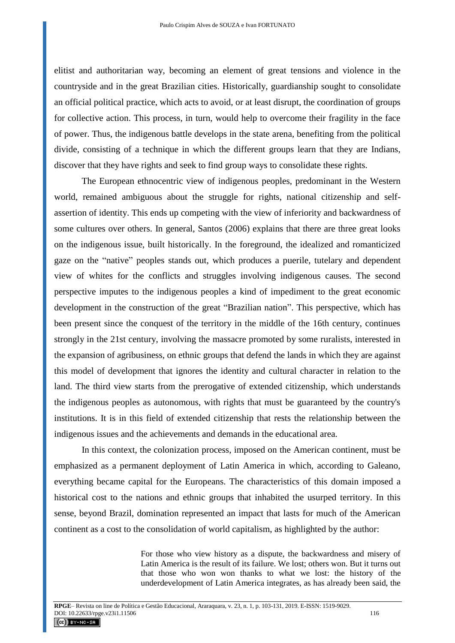elitist and authoritarian way, becoming an element of great tensions and violence in the countryside and in the great Brazilian cities. Historically, guardianship sought to consolidate an official political practice, which acts to avoid, or at least disrupt, the coordination of groups for collective action. This process, in turn, would help to overcome their fragility in the face of power. Thus, the indigenous battle develops in the state arena, benefiting from the political divide, consisting of a technique in which the different groups learn that they are Indians, discover that they have rights and seek to find group ways to consolidate these rights.

The European ethnocentric view of indigenous peoples, predominant in the Western world, remained ambiguous about the struggle for rights, national citizenship and selfassertion of identity. This ends up competing with the view of inferiority and backwardness of some cultures over others. In general, Santos (2006) explains that there are three great looks on the indigenous issue, built historically. In the foreground, the idealized and romanticized gaze on the "native" peoples stands out, which produces a puerile, tutelary and dependent view of whites for the conflicts and struggles involving indigenous causes. The second perspective imputes to the indigenous peoples a kind of impediment to the great economic development in the construction of the great "Brazilian nation". This perspective, which has been present since the conquest of the territory in the middle of the 16th century, continues strongly in the 21st century, involving the massacre promoted by some ruralists, interested in the expansion of agribusiness, on ethnic groups that defend the lands in which they are against this model of development that ignores the identity and cultural character in relation to the land. The third view starts from the prerogative of extended citizenship, which understands the indigenous peoples as autonomous, with rights that must be guaranteed by the country's institutions. It is in this field of extended citizenship that rests the relationship between the indigenous issues and the achievements and demands in the educational area.

In this context, the colonization process, imposed on the American continent, must be emphasized as a permanent deployment of Latin America in which, according to Galeano, everything became capital for the Europeans. The characteristics of this domain imposed a historical cost to the nations and ethnic groups that inhabited the usurped territory. In this sense, beyond Brazil, domination represented an impact that lasts for much of the American continent as a cost to the consolidation of world capitalism, as highlighted by the author:

> For those who view history as a dispute, the backwardness and misery of Latin America is the result of its failure. We lost; others won. But it turns out that those who won won thanks to what we lost: the history of the underdevelopment of Latin America integrates, as has already been said, the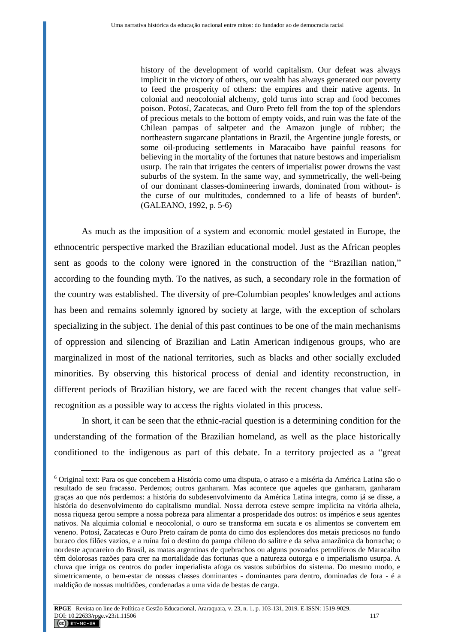history of the development of world capitalism. Our defeat was always implicit in the victory of others, our wealth has always generated our poverty to feed the prosperity of others: the empires and their native agents. In colonial and neocolonial alchemy, gold turns into scrap and food becomes poison. Potosí, Zacatecas, and Ouro Preto fell from the top of the splendors of precious metals to the bottom of empty voids, and ruin was the fate of the Chilean pampas of saltpeter and the Amazon jungle of rubber; the northeastern sugarcane plantations in Brazil, the Argentine jungle forests, or some oil-producing settlements in Maracaibo have painful reasons for believing in the mortality of the fortunes that nature bestows and imperialism usurp. The rain that irrigates the centers of imperialist power drowns the vast suburbs of the system. In the same way, and symmetrically, the well-being of our dominant classes-domineering inwards, dominated from without- is the curse of our multitudes, condemned to a life of beasts of burden<sup>6</sup>. (GALEANO, 1992, p. 5-6)

As much as the imposition of a system and economic model gestated in Europe, the ethnocentric perspective marked the Brazilian educational model. Just as the African peoples sent as goods to the colony were ignored in the construction of the "Brazilian nation," according to the founding myth. To the natives, as such, a secondary role in the formation of the country was established. The diversity of pre-Columbian peoples' knowledges and actions has been and remains solemnly ignored by society at large, with the exception of scholars specializing in the subject. The denial of this past continues to be one of the main mechanisms of oppression and silencing of Brazilian and Latin American indigenous groups, who are marginalized in most of the national territories, such as blacks and other socially excluded minorities. By observing this historical process of denial and identity reconstruction, in different periods of Brazilian history, we are faced with the recent changes that value selfrecognition as a possible way to access the rights violated in this process.

In short, it can be seen that the ethnic-racial question is a determining condition for the understanding of the formation of the Brazilian homeland, as well as the place historically conditioned to the indigenous as part of this debate. In a territory projected as a "great

<sup>6</sup> Original text: Para os que concebem a História como uma disputa, o atraso e a miséria da América Latina são o resultado de seu fracasso. Perdemos; outros ganharam. Mas acontece que aqueles que ganharam, ganharam graças ao que nós perdemos: a história do subdesenvolvimento da América Latina integra, como já se disse, a história do desenvolvimento do capitalismo mundial. Nossa derrota esteve sempre implícita na vitória alheia, nossa riqueza gerou sempre a nossa pobreza para alimentar a prosperidade dos outros: os impérios e seus agentes nativos. Na alquimia colonial e neocolonial, o ouro se transforma em sucata e os alimentos se convertem em veneno. Potosí, Zacatecas e Ouro Preto caíram de ponta do cimo dos esplendores dos metais preciosos no fundo buraco dos filões vazios, e a ruína foi o destino do pampa chileno do salitre e da selva amazônica da borracha; o nordeste açucareiro do Brasil, as matas argentinas de quebrachos ou alguns povoados petrolíferos de Maracaibo têm dolorosas razões para crer na mortalidade das fortunas que a natureza outorga e o imperialismo usurpa. A chuva que irriga os centros do poder imperialista afoga os vastos subúrbios do sistema. Do mesmo modo, e simetricamente, o bem-estar de nossas classes dominantes - dominantes para dentro, dominadas de fora - é a maldição de nossas multidões, condenadas a uma vida de bestas de carga.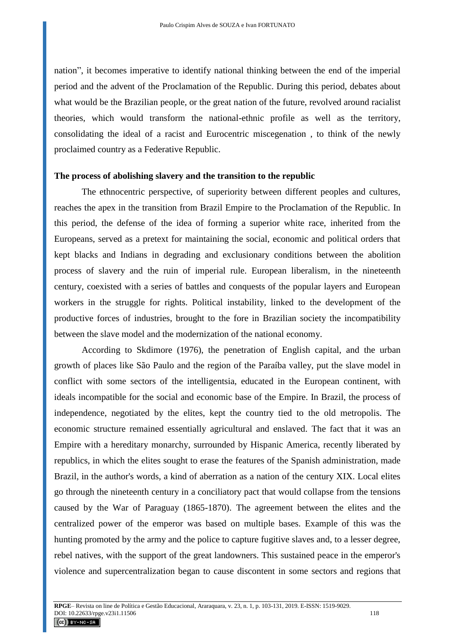nation", it becomes imperative to identify national thinking between the end of the imperial period and the advent of the Proclamation of the Republic. During this period, debates about what would be the Brazilian people, or the great nation of the future, revolved around racialist theories, which would transform the national-ethnic profile as well as the territory, consolidating the ideal of a racist and Eurocentric miscegenation , to think of the newly proclaimed country as a Federative Republic.

#### **The process of abolishing slavery and the transition to the republic**

The ethnocentric perspective, of superiority between different peoples and cultures, reaches the apex in the transition from Brazil Empire to the Proclamation of the Republic. In this period, the defense of the idea of forming a superior white race, inherited from the Europeans, served as a pretext for maintaining the social, economic and political orders that kept blacks and Indians in degrading and exclusionary conditions between the abolition process of slavery and the ruin of imperial rule. European liberalism, in the nineteenth century, coexisted with a series of battles and conquests of the popular layers and European workers in the struggle for rights. Political instability, linked to the development of the productive forces of industries, brought to the fore in Brazilian society the incompatibility between the slave model and the modernization of the national economy.

According to Skdimore (1976), the penetration of English capital, and the urban growth of places like São Paulo and the region of the Paraíba valley, put the slave model in conflict with some sectors of the intelligentsia, educated in the European continent, with ideals incompatible for the social and economic base of the Empire. In Brazil, the process of independence, negotiated by the elites, kept the country tied to the old metropolis. The economic structure remained essentially agricultural and enslaved. The fact that it was an Empire with a hereditary monarchy, surrounded by Hispanic America, recently liberated by republics, in which the elites sought to erase the features of the Spanish administration, made Brazil, in the author's words, a kind of aberration as a nation of the century XIX. Local elites go through the nineteenth century in a conciliatory pact that would collapse from the tensions caused by the War of Paraguay (1865-1870). The agreement between the elites and the centralized power of the emperor was based on multiple bases. Example of this was the hunting promoted by the army and the police to capture fugitive slaves and, to a lesser degree, rebel natives, with the support of the great landowners. This sustained peace in the emperor's violence and supercentralization began to cause discontent in some sectors and regions that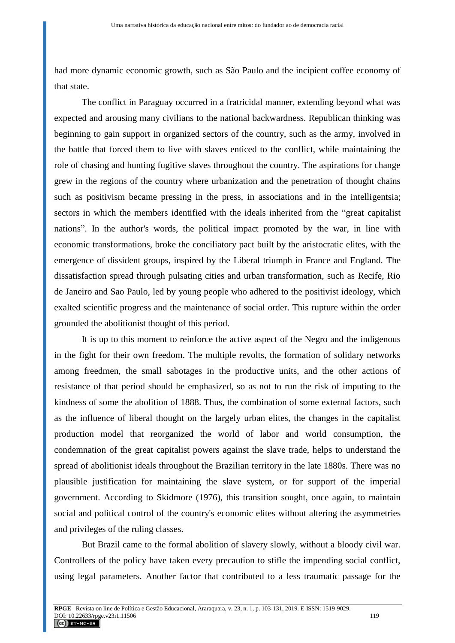had more dynamic economic growth, such as São Paulo and the incipient coffee economy of that state.

The conflict in Paraguay occurred in a fratricidal manner, extending beyond what was expected and arousing many civilians to the national backwardness. Republican thinking was beginning to gain support in organized sectors of the country, such as the army, involved in the battle that forced them to live with slaves enticed to the conflict, while maintaining the role of chasing and hunting fugitive slaves throughout the country. The aspirations for change grew in the regions of the country where urbanization and the penetration of thought chains such as positivism became pressing in the press, in associations and in the intelligentsia; sectors in which the members identified with the ideals inherited from the "great capitalist nations". In the author's words, the political impact promoted by the war, in line with economic transformations, broke the conciliatory pact built by the aristocratic elites, with the emergence of dissident groups, inspired by the Liberal triumph in France and England. The dissatisfaction spread through pulsating cities and urban transformation, such as Recife, Rio de Janeiro and Sao Paulo, led by young people who adhered to the positivist ideology, which exalted scientific progress and the maintenance of social order. This rupture within the order grounded the abolitionist thought of this period.

It is up to this moment to reinforce the active aspect of the Negro and the indigenous in the fight for their own freedom. The multiple revolts, the formation of solidary networks among freedmen, the small sabotages in the productive units, and the other actions of resistance of that period should be emphasized, so as not to run the risk of imputing to the kindness of some the abolition of 1888. Thus, the combination of some external factors, such as the influence of liberal thought on the largely urban elites, the changes in the capitalist production model that reorganized the world of labor and world consumption, the condemnation of the great capitalist powers against the slave trade, helps to understand the spread of abolitionist ideals throughout the Brazilian territory in the late 1880s. There was no plausible justification for maintaining the slave system, or for support of the imperial government. According to Skidmore (1976), this transition sought, once again, to maintain social and political control of the country's economic elites without altering the asymmetries and privileges of the ruling classes.

But Brazil came to the formal abolition of slavery slowly, without a bloody civil war. Controllers of the policy have taken every precaution to stifle the impending social conflict, using legal parameters. Another factor that contributed to a less traumatic passage for the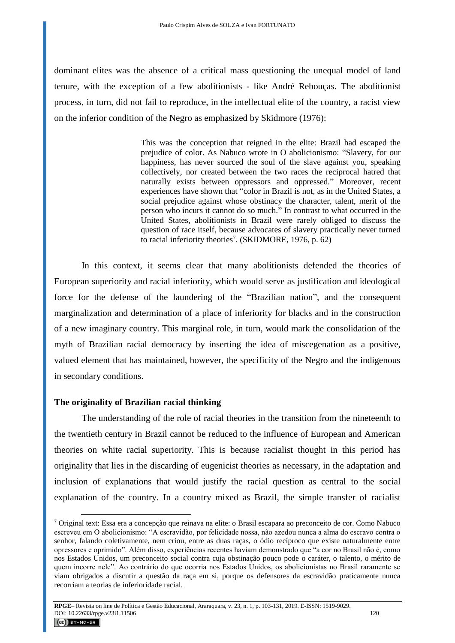dominant elites was the absence of a critical mass questioning the unequal model of land tenure, with the exception of a few abolitionists - like André Rebouças. The abolitionist process, in turn, did not fail to reproduce, in the intellectual elite of the country, a racist view on the inferior condition of the Negro as emphasized by Skidmore (1976):

> This was the conception that reigned in the elite: Brazil had escaped the prejudice of color. As Nabuco wrote in O abolicionismo: "Slavery, for our happiness, has never sourced the soul of the slave against you, speaking collectively, nor created between the two races the reciprocal hatred that naturally exists between oppressors and oppressed." Moreover, recent experiences have shown that "color in Brazil is not, as in the United States, a social prejudice against whose obstinacy the character, talent, merit of the person who incurs it cannot do so much." In contrast to what occurred in the United States, abolitionists in Brazil were rarely obliged to discuss the question of race itself, because advocates of slavery practically never turned to racial inferiority theories<sup>7</sup>. (SKIDMORE, 1976, p. 62)

In this context, it seems clear that many abolitionists defended the theories of European superiority and racial inferiority, which would serve as justification and ideological force for the defense of the laundering of the "Brazilian nation", and the consequent marginalization and determination of a place of inferiority for blacks and in the construction of a new imaginary country. This marginal role, in turn, would mark the consolidation of the myth of Brazilian racial democracy by inserting the idea of miscegenation as a positive, valued element that has maintained, however, the specificity of the Negro and the indigenous in secondary conditions.

## **The originality of Brazilian racial thinking**

The understanding of the role of racial theories in the transition from the nineteenth to the twentieth century in Brazil cannot be reduced to the influence of European and American theories on white racial superiority. This is because racialist thought in this period has originality that lies in the discarding of eugenicist theories as necessary, in the adaptation and inclusion of explanations that would justify the racial question as central to the social explanation of the country. In a country mixed as Brazil, the simple transfer of racialist

<sup>7</sup> Original text: Essa era a concepção que reinava na elite: o Brasil escapara ao preconceito de cor. Como Nabuco escreveu em O abolicionismo: "A escravidão, por felicidade nossa, não azedou nunca a alma do escravo contra o senhor, falando coletivamente, nem criou, entre as duas raças, o ódio recíproco que existe naturalmente entre opressores e oprimido". Além disso, experiências recentes haviam demonstrado que "a cor no Brasil não é, como nos Estados Unidos, um preconceito social contra cuja obstinação pouco pode o caráter, o talento, o mérito de quem incorre nele". Ao contrário do que ocorria nos Estados Unidos, os abolicionistas no Brasil raramente se viam obrigados a discutir a questão da raça em si, porque os defensores da escravidão praticamente nunca recorriam a teorias de inferioridade racial.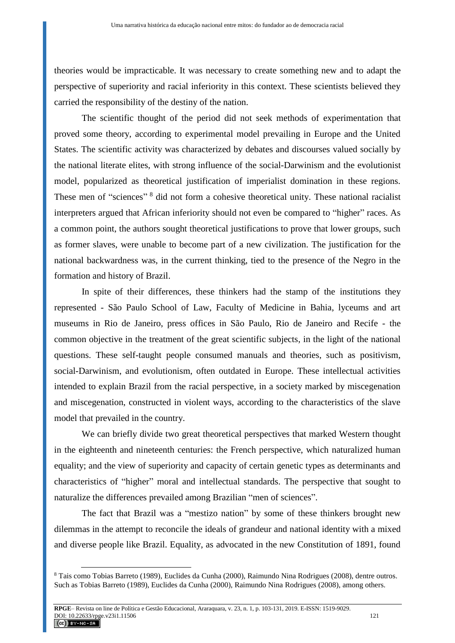theories would be impracticable. It was necessary to create something new and to adapt the perspective of superiority and racial inferiority in this context. These scientists believed they carried the responsibility of the destiny of the nation.

The scientific thought of the period did not seek methods of experimentation that proved some theory, according to experimental model prevailing in Europe and the United States. The scientific activity was characterized by debates and discourses valued socially by the national literate elites, with strong influence of the social-Darwinism and the evolutionist model, popularized as theoretical justification of imperialist domination in these regions. These men of "sciences"<sup>8</sup> did not form a cohesive theoretical unity. These national racialist interpreters argued that African inferiority should not even be compared to "higher" races. As a common point, the authors sought theoretical justifications to prove that lower groups, such as former slaves, were unable to become part of a new civilization. The justification for the national backwardness was, in the current thinking, tied to the presence of the Negro in the formation and history of Brazil.

In spite of their differences, these thinkers had the stamp of the institutions they represented - São Paulo School of Law, Faculty of Medicine in Bahia, lyceums and art museums in Rio de Janeiro, press offices in São Paulo, Rio de Janeiro and Recife - the common objective in the treatment of the great scientific subjects, in the light of the national questions. These self-taught people consumed manuals and theories, such as positivism, social-Darwinism, and evolutionism, often outdated in Europe. These intellectual activities intended to explain Brazil from the racial perspective, in a society marked by miscegenation and miscegenation, constructed in violent ways, according to the characteristics of the slave model that prevailed in the country.

We can briefly divide two great theoretical perspectives that marked Western thought in the eighteenth and nineteenth centuries: the French perspective, which naturalized human equality; and the view of superiority and capacity of certain genetic types as determinants and characteristics of "higher" moral and intellectual standards. The perspective that sought to naturalize the differences prevailed among Brazilian "men of sciences".

The fact that Brazil was a "mestizo nation" by some of these thinkers brought new dilemmas in the attempt to reconcile the ideals of grandeur and national identity with a mixed and diverse people like Brazil. Equality, as advocated in the new Constitution of 1891, found

<sup>8</sup> Tais como Tobias Barreto (1989), Euclides da Cunha (2000), Raimundo Nina Rodrigues (2008), dentre outros. Such as Tobias Barreto (1989), Euclides da Cunha (2000), Raimundo Nina Rodrigues (2008), among others.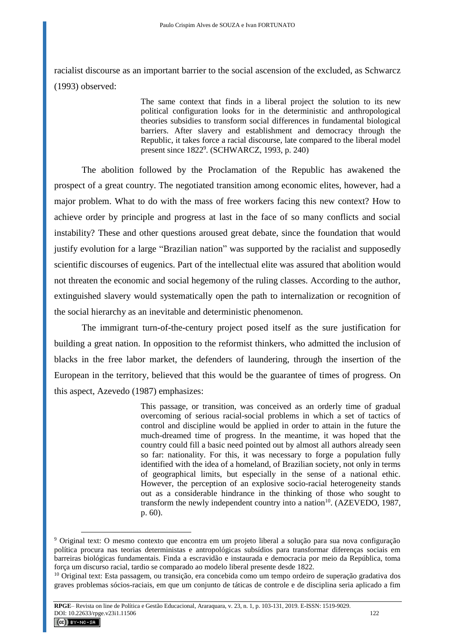racialist discourse as an important barrier to the social ascension of the excluded, as Schwarcz (1993) observed:

> The same context that finds in a liberal project the solution to its new political configuration looks for in the deterministic and anthropological theories subsidies to transform social differences in fundamental biological barriers. After slavery and establishment and democracy through the Republic, it takes force a racial discourse, late compared to the liberal model present since 1822<sup>9</sup>. (SCHWARCZ, 1993, p. 240)

The abolition followed by the Proclamation of the Republic has awakened the prospect of a great country. The negotiated transition among economic elites, however, had a major problem. What to do with the mass of free workers facing this new context? How to achieve order by principle and progress at last in the face of so many conflicts and social instability? These and other questions aroused great debate, since the foundation that would justify evolution for a large "Brazilian nation" was supported by the racialist and supposedly scientific discourses of eugenics. Part of the intellectual elite was assured that abolition would not threaten the economic and social hegemony of the ruling classes. According to the author, extinguished slavery would systematically open the path to internalization or recognition of the social hierarchy as an inevitable and deterministic phenomenon.

The immigrant turn-of-the-century project posed itself as the sure justification for building a great nation. In opposition to the reformist thinkers, who admitted the inclusion of blacks in the free labor market, the defenders of laundering, through the insertion of the European in the territory, believed that this would be the guarantee of times of progress. On this aspect, Azevedo (1987) emphasizes:

> This passage, or transition, was conceived as an orderly time of gradual overcoming of serious racial-social problems in which a set of tactics of control and discipline would be applied in order to attain in the future the much-dreamed time of progress. In the meantime, it was hoped that the country could fill a basic need pointed out by almost all authors already seen so far: nationality. For this, it was necessary to forge a population fully identified with the idea of a homeland, of Brazilian society, not only in terms of geographical limits, but especially in the sense of a national ethic. However, the perception of an explosive socio-racial heterogeneity stands out as a considerable hindrance in the thinking of those who sought to transform the newly independent country into a nation<sup>10</sup>. (AZEVEDO, 1987, p. 60).

<sup>9</sup> Original text: O mesmo contexto que encontra em um projeto liberal a solução para sua nova configuração política procura nas teorias deterministas e antropológicas subsídios para transformar diferenças sociais em barreiras biológicas fundamentais. Finda a escravidão e instaurada e democracia por meio da República, toma força um discurso racial, tardio se comparado ao modelo liberal presente desde 1822.

<sup>&</sup>lt;sup>10</sup> Original text: Esta passagem, ou transição, era concebida como um tempo ordeiro de superação gradativa dos graves problemas sócios-raciais, em que um conjunto de táticas de controle e de disciplina seria aplicado a fim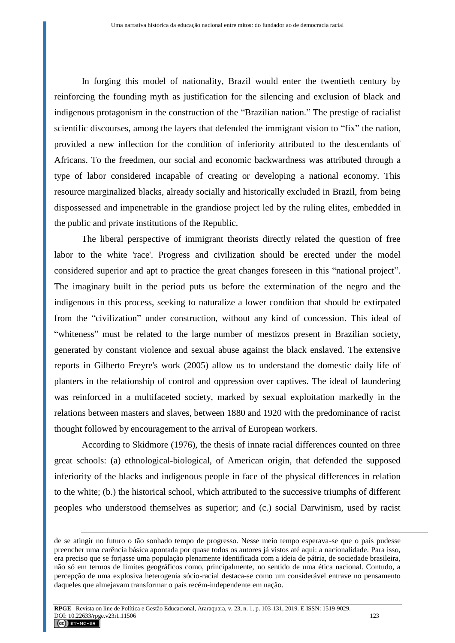In forging this model of nationality, Brazil would enter the twentieth century by reinforcing the founding myth as justification for the silencing and exclusion of black and indigenous protagonism in the construction of the "Brazilian nation." The prestige of racialist scientific discourses, among the layers that defended the immigrant vision to "fix" the nation, provided a new inflection for the condition of inferiority attributed to the descendants of Africans. To the freedmen, our social and economic backwardness was attributed through a type of labor considered incapable of creating or developing a national economy. This resource marginalized blacks, already socially and historically excluded in Brazil, from being dispossessed and impenetrable in the grandiose project led by the ruling elites, embedded in the public and private institutions of the Republic.

The liberal perspective of immigrant theorists directly related the question of free labor to the white 'race'. Progress and civilization should be erected under the model considered superior and apt to practice the great changes foreseen in this "national project". The imaginary built in the period puts us before the extermination of the negro and the indigenous in this process, seeking to naturalize a lower condition that should be extirpated from the "civilization" under construction, without any kind of concession. This ideal of "whiteness" must be related to the large number of mestizos present in Brazilian society, generated by constant violence and sexual abuse against the black enslaved. The extensive reports in Gilberto Freyre's work (2005) allow us to understand the domestic daily life of planters in the relationship of control and oppression over captives. The ideal of laundering was reinforced in a multifaceted society, marked by sexual exploitation markedly in the relations between masters and slaves, between 1880 and 1920 with the predominance of racist thought followed by encouragement to the arrival of European workers.

According to Skidmore (1976), the thesis of innate racial differences counted on three great schools: (a) ethnological-biological, of American origin, that defended the supposed inferiority of the blacks and indigenous people in face of the physical differences in relation to the white; (b.) the historical school, which attributed to the successive triumphs of different peoples who understood themselves as superior; and (c.) social Darwinism, used by racist

<u>.</u>

de se atingir no futuro o tão sonhado tempo de progresso. Nesse meio tempo esperava-se que o país pudesse preencher uma carência básica apontada por quase todos os autores já vistos até aqui: a nacionalidade. Para isso, era preciso que se forjasse uma população plenamente identificada com a ideia de pátria, de sociedade brasileira, não só em termos de limites geográficos como, principalmente, no sentido de uma ética nacional. Contudo, a percepção de uma explosiva heterogenia sócio-racial destaca-se como um considerável entrave no pensamento daqueles que almejavam transformar o país recém-independente em nação.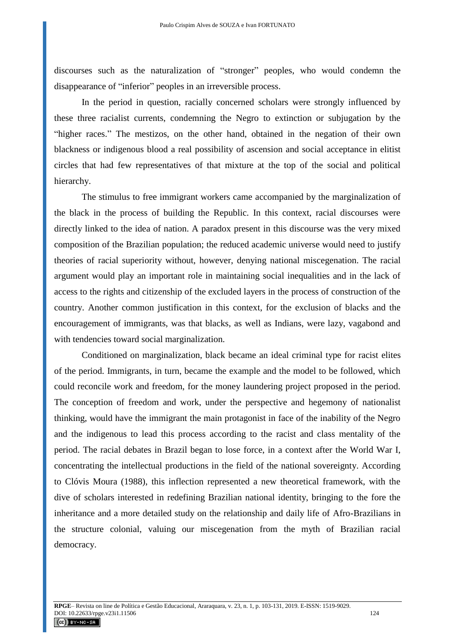discourses such as the naturalization of "stronger" peoples, who would condemn the disappearance of "inferior" peoples in an irreversible process.

In the period in question, racially concerned scholars were strongly influenced by these three racialist currents, condemning the Negro to extinction or subjugation by the "higher races." The mestizos, on the other hand, obtained in the negation of their own blackness or indigenous blood a real possibility of ascension and social acceptance in elitist circles that had few representatives of that mixture at the top of the social and political hierarchy.

The stimulus to free immigrant workers came accompanied by the marginalization of the black in the process of building the Republic. In this context, racial discourses were directly linked to the idea of nation. A paradox present in this discourse was the very mixed composition of the Brazilian population; the reduced academic universe would need to justify theories of racial superiority without, however, denying national miscegenation. The racial argument would play an important role in maintaining social inequalities and in the lack of access to the rights and citizenship of the excluded layers in the process of construction of the country. Another common justification in this context, for the exclusion of blacks and the encouragement of immigrants, was that blacks, as well as Indians, were lazy, vagabond and with tendencies toward social marginalization.

Conditioned on marginalization, black became an ideal criminal type for racist elites of the period. Immigrants, in turn, became the example and the model to be followed, which could reconcile work and freedom, for the money laundering project proposed in the period. The conception of freedom and work, under the perspective and hegemony of nationalist thinking, would have the immigrant the main protagonist in face of the inability of the Negro and the indigenous to lead this process according to the racist and class mentality of the period. The racial debates in Brazil began to lose force, in a context after the World War I, concentrating the intellectual productions in the field of the national sovereignty. According to Clóvis Moura (1988), this inflection represented a new theoretical framework, with the dive of scholars interested in redefining Brazilian national identity, bringing to the fore the inheritance and a more detailed study on the relationship and daily life of Afro-Brazilians in the structure colonial, valuing our miscegenation from the myth of Brazilian racial democracy.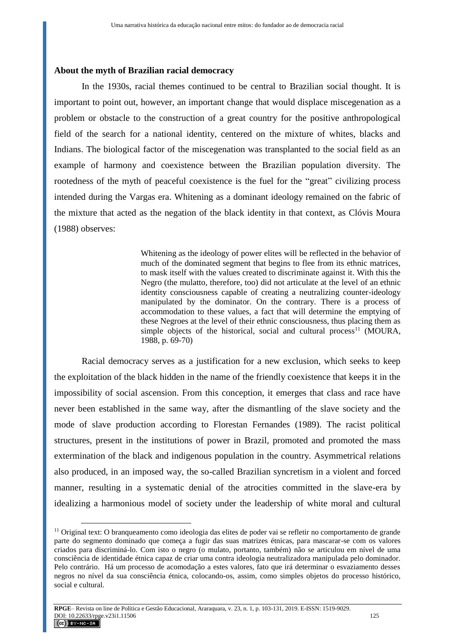#### **About the myth of Brazilian racial democracy**

In the 1930s, racial themes continued to be central to Brazilian social thought. It is important to point out, however, an important change that would displace miscegenation as a problem or obstacle to the construction of a great country for the positive anthropological field of the search for a national identity, centered on the mixture of whites, blacks and Indians. The biological factor of the miscegenation was transplanted to the social field as an example of harmony and coexistence between the Brazilian population diversity. The rootedness of the myth of peaceful coexistence is the fuel for the "great" civilizing process intended during the Vargas era. Whitening as a dominant ideology remained on the fabric of the mixture that acted as the negation of the black identity in that context, as Clóvis Moura (1988) observes:

> Whitening as the ideology of power elites will be reflected in the behavior of much of the dominated segment that begins to flee from its ethnic matrices, to mask itself with the values created to discriminate against it. With this the Negro (the mulatto, therefore, too) did not articulate at the level of an ethnic identity consciousness capable of creating a neutralizing counter-ideology manipulated by the dominator. On the contrary. There is a process of accommodation to these values, a fact that will determine the emptying of these Negroes at the level of their ethnic consciousness, thus placing them as simple objects of the historical, social and cultural process<sup>11</sup> (MOURA, 1988, p. 69-70)

Racial democracy serves as a justification for a new exclusion, which seeks to keep the exploitation of the black hidden in the name of the friendly coexistence that keeps it in the impossibility of social ascension. From this conception, it emerges that class and race have never been established in the same way, after the dismantling of the slave society and the mode of slave production according to Florestan Fernandes (1989). The racist political structures, present in the institutions of power in Brazil, promoted and promoted the mass extermination of the black and indigenous population in the country. Asymmetrical relations also produced, in an imposed way, the so-called Brazilian syncretism in a violent and forced manner, resulting in a systematic denial of the atrocities committed in the slave-era by idealizing a harmonious model of society under the leadership of white moral and cultural

<sup>11</sup> Original text: O branqueamento como ideologia das elites de poder vai se refletir no comportamento de grande parte do segmento dominado que começa a fugir das suas matrizes étnicas, para mascarar-se com os valores criados para discriminá-lo. Com isto o negro (o mulato, portanto, também) não se articulou em nível de uma consciência de identidade étnica capaz de criar uma contra ideologia neutralizadora manipulada pelo dominador. Pelo contrário. Há um processo de acomodação a estes valores, fato que irá determinar o esvaziamento desses negros no nível da sua consciência étnica, colocando-os, assim, como simples objetos do processo histórico, social e cultural.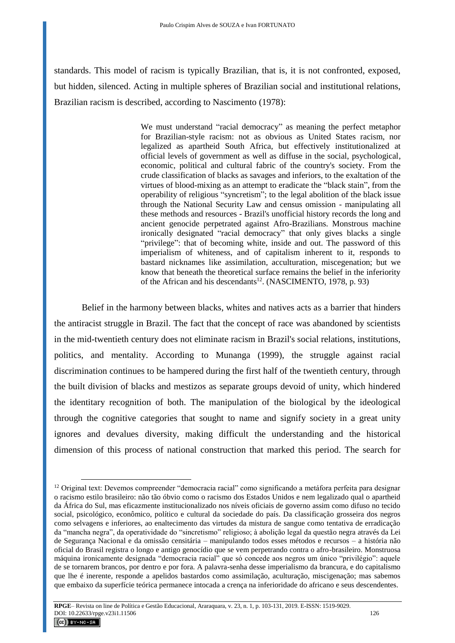standards. This model of racism is typically Brazilian, that is, it is not confronted, exposed, but hidden, silenced. Acting in multiple spheres of Brazilian social and institutional relations, Brazilian racism is described, according to Nascimento (1978):

> We must understand "racial democracy" as meaning the perfect metaphor for Brazilian-style racism: not as obvious as United States racism, nor legalized as apartheid South Africa, but effectively institutionalized at official levels of government as well as diffuse in the social, psychological, economic, political and cultural fabric of the country's society. From the crude classification of blacks as savages and inferiors, to the exaltation of the virtues of blood-mixing as an attempt to eradicate the "black stain", from the operability of religious "syncretism"; to the legal abolition of the black issue through the National Security Law and census omission - manipulating all these methods and resources - Brazil's unofficial history records the long and ancient genocide perpetrated against Afro-Brazilians. Monstrous machine ironically designated "racial democracy" that only gives blacks a single "privilege": that of becoming white, inside and out. The password of this imperialism of whiteness, and of capitalism inherent to it, responds to bastard nicknames like assimilation, acculturation, miscegenation; but we know that beneath the theoretical surface remains the belief in the inferiority of the African and his descendants<sup>12</sup>. (NASCIMENTO, 1978, p. 93)

Belief in the harmony between blacks, whites and natives acts as a barrier that hinders the antiracist struggle in Brazil. The fact that the concept of race was abandoned by scientists in the mid-twentieth century does not eliminate racism in Brazil's social relations, institutions, politics, and mentality. According to Munanga (1999), the struggle against racial discrimination continues to be hampered during the first half of the twentieth century, through the built division of blacks and mestizos as separate groups devoid of unity, which hindered the identitary recognition of both. The manipulation of the biological by the ideological through the cognitive categories that sought to name and signify society in a great unity ignores and devalues diversity, making difficult the understanding and the historical dimension of this process of national construction that marked this period. The search for

**RPGE**– Revista on line de Política e Gestão Educacional, Araraquara, v. 23, n. 1, p. 103-131, 2019. E-ISSN: 1519-9029. DOI: 10.22633/rpge.v23i1.11506 126

<sup>&</sup>lt;sup>12</sup> Original text: Devemos compreender "democracia racial" como significando a metáfora perfeita para designar o racismo estilo brasileiro: não tão óbvio como o racismo dos Estados Unidos e nem legalizado qual o apartheid da África do Sul, mas eficazmente institucionalizado nos níveis oficiais de governo assim como difuso no tecido social, psicológico, econômico, político e cultural da sociedade do país. Da classificação grosseira dos negros como selvagens e inferiores, ao enaltecimento das virtudes da mistura de sangue como tentativa de erradicação da "mancha negra", da operatividade do "sincretismo" religioso; à abolição legal da questão negra através da Lei de Segurança Nacional e da omissão censitária – manipulando todos esses métodos e recursos – a história não oficial do Brasil registra o longo e antigo genocídio que se vem perpetrando contra o afro-brasileiro. Monstruosa máquina ironicamente designada "democracia racial" que só concede aos negros um único "privilégio": aquele de se tornarem brancos, por dentro e por fora. A palavra-senha desse imperialismo da brancura, e do capitalismo que lhe é inerente, responde a apelidos bastardos como assimilação, aculturação, miscigenação; mas sabemos que embaixo da superfície teórica permanece intocada a crença na inferioridade do africano e seus descendentes.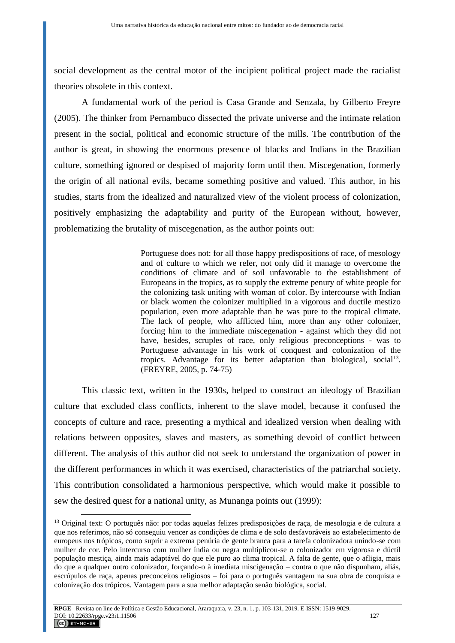social development as the central motor of the incipient political project made the racialist theories obsolete in this context.

A fundamental work of the period is Casa Grande and Senzala, by Gilberto Freyre (2005). The thinker from Pernambuco dissected the private universe and the intimate relation present in the social, political and economic structure of the mills. The contribution of the author is great, in showing the enormous presence of blacks and Indians in the Brazilian culture, something ignored or despised of majority form until then. Miscegenation, formerly the origin of all national evils, became something positive and valued. This author, in his studies, starts from the idealized and naturalized view of the violent process of colonization, positively emphasizing the adaptability and purity of the European without, however, problematizing the brutality of miscegenation, as the author points out:

> Portuguese does not: for all those happy predispositions of race, of mesology and of culture to which we refer, not only did it manage to overcome the conditions of climate and of soil unfavorable to the establishment of Europeans in the tropics, as to supply the extreme penury of white people for the colonizing task uniting with woman of color. By intercourse with Indian or black women the colonizer multiplied in a vigorous and ductile mestizo population, even more adaptable than he was pure to the tropical climate. The lack of people, who afflicted him, more than any other colonizer, forcing him to the immediate miscegenation - against which they did not have, besides, scruples of race, only religious preconceptions - was to Portuguese advantage in his work of conquest and colonization of the tropics. Advantage for its better adaptation than biological, social<sup>13</sup>. (FREYRE, 2005, p. 74-75)

This classic text, written in the 1930s, helped to construct an ideology of Brazilian culture that excluded class conflicts, inherent to the slave model, because it confused the concepts of culture and race, presenting a mythical and idealized version when dealing with relations between opposites, slaves and masters, as something devoid of conflict between different. The analysis of this author did not seek to understand the organization of power in the different performances in which it was exercised, characteristics of the patriarchal society. This contribution consolidated a harmonious perspective, which would make it possible to sew the desired quest for a national unity, as Munanga points out (1999):

<sup>&</sup>lt;sup>13</sup> Original text: O português não: por todas aquelas felizes predisposições de raça, de mesologia e de cultura a que nos referimos, não só conseguiu vencer as condições de clima e de solo desfavoráveis ao estabelecimento de europeus nos trópicos, como suprir a extrema penúria de gente branca para a tarefa colonizadora unindo-se com mulher de cor. Pelo intercurso com mulher índia ou negra multiplicou-se o colonizador em vigorosa e dúctil população mestiça, ainda mais adaptável do que ele puro ao clima tropical. A falta de gente, que o afligia, mais do que a qualquer outro colonizador, forçando-o à imediata miscigenação – contra o que não dispunham, aliás, escrúpulos de raça, apenas preconceitos religiosos – foi para o português vantagem na sua obra de conquista e colonização dos trópicos. Vantagem para a sua melhor adaptação senão biológica, social.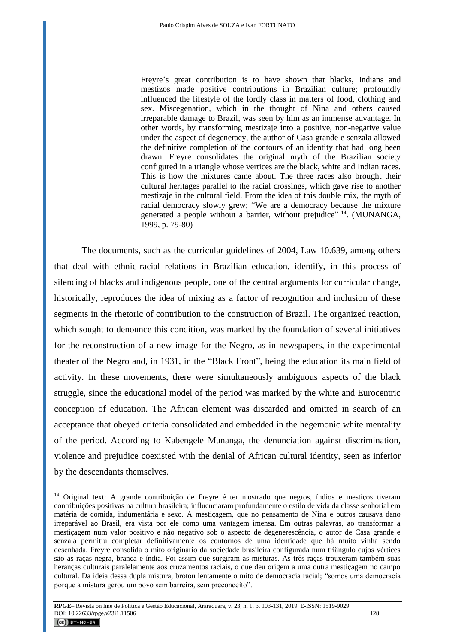Freyre's great contribution is to have shown that blacks, Indians and mestizos made positive contributions in Brazilian culture; profoundly influenced the lifestyle of the lordly class in matters of food, clothing and sex. Miscegenation, which in the thought of Nina and others caused irreparable damage to Brazil, was seen by him as an immense advantage. In other words, by transforming mestizaje into a positive, non-negative value under the aspect of degeneracy, the author of Casa grande e senzala allowed the definitive completion of the contours of an identity that had long been drawn. Freyre consolidates the original myth of the Brazilian society configured in a triangle whose vertices are the black, white and Indian races. This is how the mixtures came about. The three races also brought their cultural heritages parallel to the racial crossings, which gave rise to another mestizaje in the cultural field. From the idea of this double mix, the myth of racial democracy slowly grew; "We are a democracy because the mixture generated a people without a barrier, without prejudice"<sup>14</sup>. (MUNANGA, 1999, p. 79-80)

The documents, such as the curricular guidelines of 2004, Law 10.639, among others that deal with ethnic-racial relations in Brazilian education, identify, in this process of silencing of blacks and indigenous people, one of the central arguments for curricular change, historically, reproduces the idea of mixing as a factor of recognition and inclusion of these segments in the rhetoric of contribution to the construction of Brazil. The organized reaction, which sought to denounce this condition, was marked by the foundation of several initiatives for the reconstruction of a new image for the Negro, as in newspapers, in the experimental theater of the Negro and, in 1931, in the "Black Front", being the education its main field of activity. In these movements, there were simultaneously ambiguous aspects of the black struggle, since the educational model of the period was marked by the white and Eurocentric conception of education. The African element was discarded and omitted in search of an acceptance that obeyed criteria consolidated and embedded in the hegemonic white mentality of the period. According to Kabengele Munanga, the denunciation against discrimination, violence and prejudice coexisted with the denial of African cultural identity, seen as inferior by the descendants themselves.

<sup>&</sup>lt;sup>14</sup> Original text: A grande contribuição de Freyre é ter mostrado que negros, índios e mestiços tiveram contribuições positivas na cultura brasileira; influenciaram profundamente o estilo de vida da classe senhorial em matéria de comida, indumentária e sexo. A mestiçagem, que no pensamento de Nina e outros causava dano irreparável ao Brasil, era vista por ele como uma vantagem imensa. Em outras palavras, ao transformar a mestiçagem num valor positivo e não negativo sob o aspecto de degenerescência, o autor de Casa grande e senzala permitiu completar definitivamente os contornos de uma identidade que há muito vinha sendo desenhada. Freyre consolida o mito originário da sociedade brasileira configurada num triângulo cujos vértices são as raças negra, branca e índia. Foi assim que surgiram as misturas. As três raças trouxeram também suas heranças culturais paralelamente aos cruzamentos raciais, o que deu origem a uma outra mestiçagem no campo cultural. Da ideia dessa dupla mistura, brotou lentamente o mito de democracia racial; "somos uma democracia porque a mistura gerou um povo sem barreira, sem preconceito".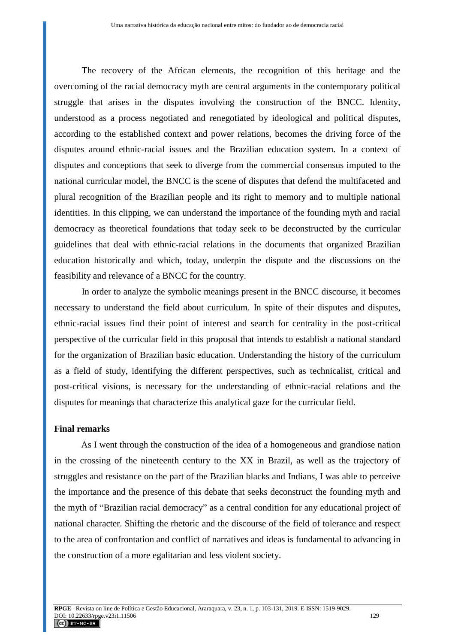The recovery of the African elements, the recognition of this heritage and the overcoming of the racial democracy myth are central arguments in the contemporary political struggle that arises in the disputes involving the construction of the BNCC. Identity, understood as a process negotiated and renegotiated by ideological and political disputes, according to the established context and power relations, becomes the driving force of the disputes around ethnic-racial issues and the Brazilian education system. In a context of disputes and conceptions that seek to diverge from the commercial consensus imputed to the national curricular model, the BNCC is the scene of disputes that defend the multifaceted and plural recognition of the Brazilian people and its right to memory and to multiple national identities. In this clipping, we can understand the importance of the founding myth and racial democracy as theoretical foundations that today seek to be deconstructed by the curricular guidelines that deal with ethnic-racial relations in the documents that organized Brazilian education historically and which, today, underpin the dispute and the discussions on the feasibility and relevance of a BNCC for the country.

In order to analyze the symbolic meanings present in the BNCC discourse, it becomes necessary to understand the field about curriculum. In spite of their disputes and disputes, ethnic-racial issues find their point of interest and search for centrality in the post-critical perspective of the curricular field in this proposal that intends to establish a national standard for the organization of Brazilian basic education. Understanding the history of the curriculum as a field of study, identifying the different perspectives, such as technicalist, critical and post-critical visions, is necessary for the understanding of ethnic-racial relations and the disputes for meanings that characterize this analytical gaze for the curricular field.

## **Final remarks**

As I went through the construction of the idea of a homogeneous and grandiose nation in the crossing of the nineteenth century to the XX in Brazil, as well as the trajectory of struggles and resistance on the part of the Brazilian blacks and Indians, I was able to perceive the importance and the presence of this debate that seeks deconstruct the founding myth and the myth of "Brazilian racial democracy" as a central condition for any educational project of national character. Shifting the rhetoric and the discourse of the field of tolerance and respect to the area of confrontation and conflict of narratives and ideas is fundamental to advancing in the construction of a more egalitarian and less violent society.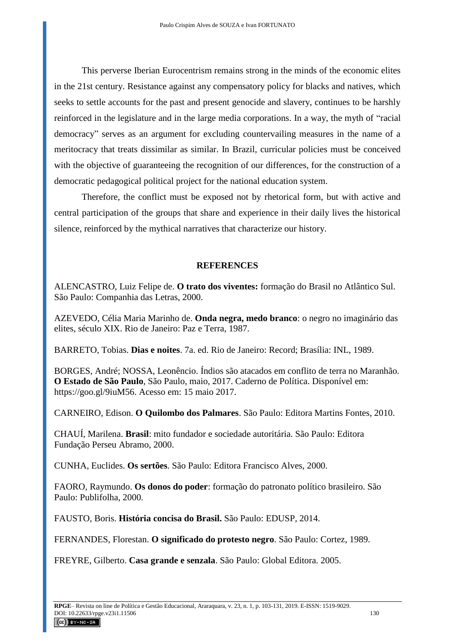This perverse Iberian Eurocentrism remains strong in the minds of the economic elites in the 21st century. Resistance against any compensatory policy for blacks and natives, which seeks to settle accounts for the past and present genocide and slavery, continues to be harshly reinforced in the legislature and in the large media corporations. In a way, the myth of "racial democracy" serves as an argument for excluding countervailing measures in the name of a meritocracy that treats dissimilar as similar. In Brazil, curricular policies must be conceived with the objective of guaranteeing the recognition of our differences, for the construction of a democratic pedagogical political project for the national education system.

Therefore, the conflict must be exposed not by rhetorical form, but with active and central participation of the groups that share and experience in their daily lives the historical silence, reinforced by the mythical narratives that characterize our history.

## **REFERENCES**

ALENCASTRO, Luiz Felipe de. **O trato dos viventes:** formação do Brasil no Atlântico Sul. São Paulo: Companhia das Letras, 2000.

AZEVEDO, Célia Maria Marinho de. **Onda negra, medo branco**: o negro no imaginário das elites, século XIX. Rio de Janeiro: Paz e Terra, 1987.

BARRETO, Tobias. **Dias e noites**. 7a. ed. Rio de Janeiro: Record; Brasília: INL, 1989.

BORGES, André; NOSSA, Leonêncio. Índios são atacados em conflito de terra no Maranhão. **O Estado de São Paulo**, São Paulo, maio, 2017. Caderno de Política. Disponível em: [https://goo.gl/9iuM56.](https://goo.gl/9iuM56) Acesso em: 15 maio 2017.

CARNEIRO, Edison. **O Quilombo dos Palmares**. São Paulo: Editora Martins Fontes, 2010.

CHAUÍ, Marilena. **Brasil**: mito fundador e sociedade autoritária. São Paulo: Editora Fundação Perseu Abramo, 2000.

CUNHA, Euclides. **Os sertões**. São Paulo: Editora Francisco Alves, 2000.

FAORO, Raymundo. **Os donos do poder**: formação do patronato político brasileiro. São Paulo: Publifolha, 2000.

FAUSTO, Boris. **História concisa do Brasil.** São Paulo: EDUSP, 2014.

FERNANDES, Florestan. **O significado do protesto negro**. São Paulo: Cortez, 1989.

FREYRE, Gilberto. **Casa grande e senzala**. São Paulo: Global Editora. 2005.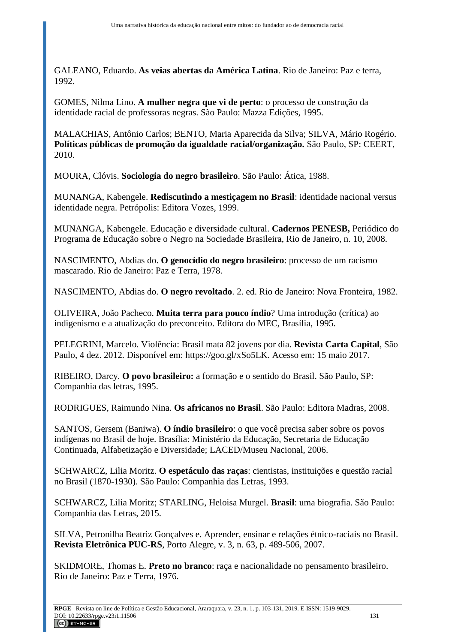GALEANO, Eduardo. **As veias abertas da América Latina**. Rio de Janeiro: Paz e terra, 1992.

GOMES, Nilma Lino. **A mulher negra que vi de perto**: o processo de construção da identidade racial de professoras negras. São Paulo: Mazza Edições, 1995.

MALACHIAS, Antônio Carlos; BENTO, Maria Aparecida da Silva; SILVA, Mário Rogério. **Políticas públicas de promoção da igualdade racial/organização.** São Paulo, SP: CEERT, 2010.

MOURA, Clóvis. **Sociologia do negro brasileiro**. São Paulo: Ática, 1988.

MUNANGA, Kabengele. **Rediscutindo a mestiçagem no Brasil**: identidade nacional versus identidade negra. Petrópolis: Editora Vozes, 1999.

MUNANGA, Kabengele. Educação e diversidade cultural. **Cadernos PENESB,** Periódico do Programa de Educação sobre o Negro na Sociedade Brasileira, Rio de Janeiro, n. 10, 2008.

NASCIMENTO, Abdias do. **O genocídio do negro brasileiro**: processo de um racismo mascarado. Rio de Janeiro: Paz e Terra, 1978.

NASCIMENTO, Abdias do. **O negro revoltado**. 2. ed. Rio de Janeiro: Nova Fronteira, 1982.

OLIVEIRA, João Pacheco. **Muita terra para pouco índio**? Uma introdução (crítica) ao indigenismo e a atualização do preconceito. Editora do MEC, Brasília, 1995.

PELEGRINI, Marcelo. Violência: Brasil mata 82 jovens por dia. **Revista Carta Capital**, São Paulo, 4 dez. 2012. Disponível em: [https://goo.gl/xSo5LK.](https://goo.gl/xSo5LK) Acesso em: 15 maio 2017.

RIBEIRO, Darcy. **O povo brasileiro:** a formação e o sentido do Brasil. São Paulo, SP: Companhia das letras, 1995.

RODRIGUES, Raimundo Nina. **Os africanos no Brasil**. São Paulo: Editora Madras, 2008.

SANTOS, Gersem (Baniwa). **O índio brasileiro**: o que você precisa saber sobre os povos indígenas no Brasil de hoje. Brasília: Ministério da Educação, Secretaria de Educação Continuada, Alfabetização e Diversidade; LACED/Museu Nacional, 2006.

SCHWARCZ, Lilia Moritz. **O espetáculo das raças**: cientistas, instituições e questão racial no Brasil (1870-1930). São Paulo: Companhia das Letras, 1993.

SCHWARCZ, Lilia Moritz; STARLING, Heloisa Murgel. **Brasil**: uma biografia. São Paulo: Companhia das Letras, 2015.

SILVA, Petronilha Beatriz Gonçalves e. Aprender, ensinar e relações étnico-raciais no Brasil. **Revista Eletrônica PUC-RS**, Porto Alegre, v. 3, n. 63, p. 489-506, 2007.

SKIDMORE, Thomas E. **Preto no branco**: raça e nacionalidade no pensamento brasileiro. Rio de Janeiro: Paz e Terra, 1976.